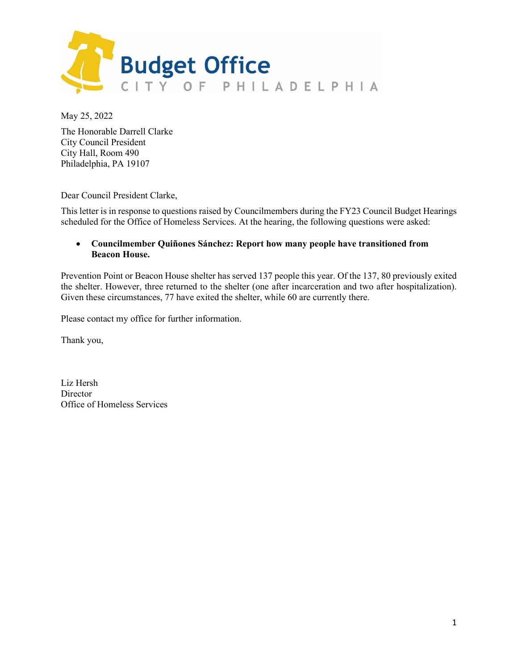

May 25, 2022

The Honorable Darrell Clarke City Council President City Hall, Room 490 Philadelphia, PA 19107

Dear Council President Clarke,

This letter is in response to questions raised by Councilmembers during the FY23 Council Budget Hearings scheduled for the Office of Homeless Services. At the hearing, the following questions were asked:

## • **Councilmember Quiñones Sánchez: Report how many people have transitioned from Beacon House.**

Prevention Point or Beacon House shelter has served 137 people this year. Of the 137, 80 previously exited the shelter. However, three returned to the shelter (one after incarceration and two after hospitalization). Given these circumstances, 77 have exited the shelter, while 60 are currently there.

Please contact my office for further information.

Thank you,

Liz Hersh **Director** Office of Homeless Services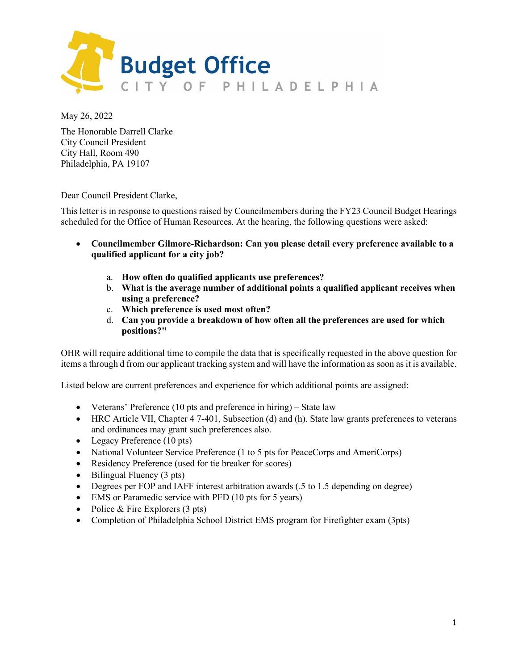

May 26, 2022

The Honorable Darrell Clarke City Council President City Hall, Room 490 Philadelphia, PA 19107

Dear Council President Clarke,

This letter is in response to questions raised by Councilmembers during the FY23 Council Budget Hearings scheduled for the Office of Human Resources. At the hearing, the following questions were asked:

- **Councilmember Gilmore-Richardson: Can you please detail every preference available to a qualified applicant for a city job?**
	- a. **How often do qualified applicants use preferences?**
	- b. **What is the average number of additional points a qualified applicant receives when using a preference?**
	- c. **Which preference is used most often?**
	- d. **Can you provide a breakdown of how often all the preferences are used for which positions?"**

OHR will require additional time to compile the data that is specifically requested in the above question for items a through d from our applicant tracking system and will have the information as soon as it is available.

Listed below are current preferences and experience for which additional points are assigned:

- Veterans' Preference (10 pts and preference in hiring) State law
- HRC Article VII, Chapter 4 7-401, Subsection (d) and (h). State law grants preferences to veterans and ordinances may grant such preferences also.
- Legacy Preference (10 pts)
- National Volunteer Service Preference (1 to 5 pts for PeaceCorps and AmeriCorps)
- Residency Preference (used for tie breaker for scores)
- Bilingual Fluency (3 pts)
- Degrees per FOP and IAFF interest arbitration awards (.5 to 1.5 depending on degree)
- EMS or Paramedic service with PFD (10 pts for 5 years)
- Police & Fire Explorers  $(3 \text{ pts})$
- Completion of Philadelphia School District EMS program for Firefighter exam (3pts)